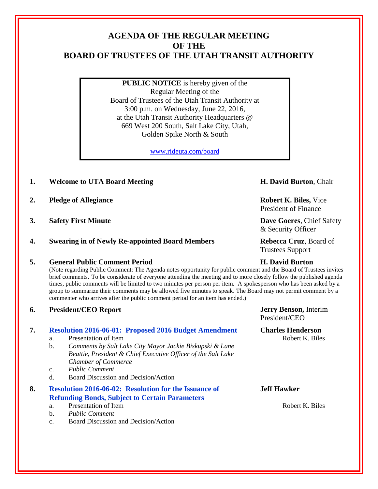# **AGENDA OF THE REGULAR MEETING OF THE BOARD OF TRUSTEES OF THE UTAH TRANSIT AUTHORITY**

**PUBLIC NOTICE** is hereby given of the Regular Meeting of the Board of Trustees of the Utah Transit Authority at 3:00 p.m. on Wednesday, June 22, 2016, at the Utah Transit Authority Headquarters @ 669 West 200 South, Salt Lake City, Utah, Golden Spike North & South

[www.rideuta.com/board](http://www.rideuta.com/board)

- **1. Welcome to UTA Board Meeting H. David Burton**, Chair
- **2. Pledge of Allegiance Robert K. Biles,** Vice
- **3. Safety First Minute Dave Goeres**, Chief Safety
- **4. Swearing in of Newly Re-appointed Board Members Rebecca Cruz**, Board of

## **5. General Public Comment Period H. David Burton**

(Note regarding Public Comment: The Agenda notes opportunity for public comment and the Board of Trustees invites brief comments. To be considerate of everyone attending the meeting and to more closely follow the published agenda times, public comments will be limited to two minutes per person per item. A spokesperson who has been asked by a group to summarize their comments may be allowed five minutes to speak. The Board may not permit comment by a commenter who arrives after the public comment period for an item has ended.)

**6. President/CEO Report Jerry Benson,** Interim

## **7. Resolution 2016-06-01: Proposed 2016 Budget Amendment Charles Henderson**

- a. Presentation of Item **Robert K. Biles** Robert K. Biles
- b. *Comments by Salt Lake City Mayor Jackie Biskupski & Lane Beattie, President & Chief Executive Officer of the Salt Lake Chamber of Commerce*
- c. *Public Comment*
- d. Board Discussion and Decision/Action

## **8. Resolution 2016-06-02: Resolution for the Issuance of Refunding Bonds, Subject to Certain Parameters**

- a. Presentation of Item Robert K. Biles
- b. *Public Comment*
- c. Board Discussion and Decision/Action

President of Finance

& Security Officer

Trustees Support

President/CEO

## **Jeff Hawker**